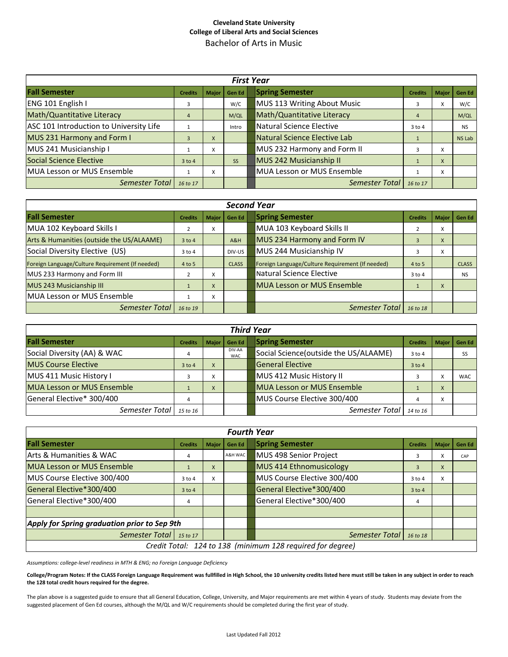## **Cleveland State University College of Liberal Arts and Social Sciences** Bachelor of Arts in Music

| <b>First Year</b>                       |                |              |               |  |                                   |                |              |           |
|-----------------------------------------|----------------|--------------|---------------|--|-----------------------------------|----------------|--------------|-----------|
| <b>Fall Semester</b>                    | <b>Credits</b> | <b>Major</b> | <b>Gen Ed</b> |  | <b>Spring Semester</b>            | <b>Credits</b> | <b>Major</b> | Gen Ed    |
| ENG 101 English I                       | 3              |              | W/C           |  | MUS 113 Writing About Music       |                | ^            | W/C       |
| Math/Quantitative Literacy              | $\overline{4}$ |              | M/QL          |  | Math/Quantitative Literacy        | 4              |              | M/QL      |
| ASC 101 Introduction to University Life |                |              | Intro         |  | Natural Science Elective          | $3$ to 4       |              | <b>NS</b> |
| MUS 231 Harmony and Form I              | 3              | X            |               |  | Natural Science Elective Lab      |                |              | NS Lab    |
| MUS 241 Musicianship I                  |                | x            |               |  | MUS 232 Harmony and Form II       |                | X            |           |
| Social Science Elective                 | $3$ to 4       |              | <b>SS</b>     |  | MUS 242 Musicianship II           |                | X            |           |
| MUA Lesson or MUS Ensemble              |                | x            |               |  | <b>MUA Lesson or MUS Ensemble</b> |                | X            |           |
| Semester Total                          | 16 to 17       |              |               |  | Semester Total                    | 16 to 17       |              |           |

| <b>Second Year</b>                               |                |              |               |  |                                                  |                |              |               |
|--------------------------------------------------|----------------|--------------|---------------|--|--------------------------------------------------|----------------|--------------|---------------|
| <b>Fall Semester</b>                             | <b>Credits</b> | <b>Major</b> | <b>Gen Ed</b> |  | <b>Spring Semester</b>                           | <b>Credits</b> | <b>Major</b> | <b>Gen Ed</b> |
| MUA 102 Keyboard Skills I                        |                | X            |               |  | MUA 103 Keyboard Skills II                       |                | x            |               |
| Arts & Humanities (outside the US/ALAAME)        | $3$ to 4       |              | A&H           |  | MUS 234 Harmony and Form IV                      |                | X            |               |
| Social Diversity Elective (US)                   | $3$ to 4       |              | DIV-US        |  | MUS 244 Musicianship IV                          |                | x            |               |
| Foreign Language/Culture Requirement (If needed) | 4 to 5         |              | <b>CLASS</b>  |  | Foreign Language/Culture Requirement (If needed) | 4 to 5         |              | <b>CLASS</b>  |
| MUS 233 Harmony and Form III                     |                | X            |               |  | Natural Science Elective                         | $3$ to 4       |              | <b>NS</b>     |
| MUS 243 Musicianship III                         |                | X            |               |  | <b>MUA Lesson or MUS Ensemble</b>                |                | X            |               |
| MUA Lesson or MUS Ensemble                       |                | X            |               |  |                                                  |                |              |               |
| Semester Total                                   | 16 to 19       |              |               |  | Semester Total                                   | 16 to 18       |              |               |

| <b>Third Year</b>                 |                |                        |                      |  |                                       |                |                          |                |
|-----------------------------------|----------------|------------------------|----------------------|--|---------------------------------------|----------------|--------------------------|----------------|
| <b>Fall Semester</b>              | <b>Credits</b> |                        | Major   Gen Ed       |  | <b>Spring Semester</b>                | <b>Credits</b> |                          | Major   Gen Ed |
| Social Diversity (AA) & WAC       |                |                        | DIV-AA<br><b>WAC</b> |  | Social Science(outside the US/ALAAME) | $3$ to 4       |                          | <b>SS</b>      |
| <b>MUS Course Elective</b>        | $3$ to 4       | X                      |                      |  | <b>General Elective</b>               | $3$ to 4       |                          |                |
| MUS 411 Music History I           |                | $\lambda$<br>$\lambda$ |                      |  | MUS 412 Music History II              |                | $\overline{\phantom{a}}$ | <b>WAC</b>     |
| <b>MUA Lesson or MUS Ensemble</b> |                | $\vee$<br>$\lambda$    |                      |  | <b>MUA Lesson or MUS Ensemble</b>     |                | X                        |                |
| General Elective* 300/400         |                |                        |                      |  | MUS Course Elective 300/400           |                | $\checkmark$             |                |
| Semester Total                    | 15 to 16       |                        |                      |  | Semester Total                        | 14 to 16       |                          |                |

| <b>Fourth Year</b>                                         |                |              |               |  |                             |                |              |               |
|------------------------------------------------------------|----------------|--------------|---------------|--|-----------------------------|----------------|--------------|---------------|
| <b>Fall Semester</b>                                       | <b>Credits</b> | <b>Major</b> | <b>Gen Ed</b> |  | <b>Spring Semester</b>      | <b>Credits</b> | <b>Major</b> | <b>Gen Ed</b> |
| Arts & Humanities & WAC                                    | 4              |              | A&H WAC       |  | MUS 498 Senior Project      |                | v            | CAP           |
| <b>MUA Lesson or MUS Ensemble</b>                          |                | X            |               |  | MUS 414 Ethnomusicology     | 3              | X            |               |
| MUS Course Elective 300/400                                | $3$ to $4$     | x            |               |  | MUS Course Elective 300/400 | $3$ to 4       | X            |               |
| General Elective*300/400                                   | $3$ to 4       |              |               |  | General Elective*300/400    | $3$ to 4       |              |               |
| General Elective*300/400                                   | 4              |              |               |  | General Elective*300/400    | 4              |              |               |
|                                                            |                |              |               |  |                             |                |              |               |
| Apply for Spring graduation prior to Sep 9th               |                |              |               |  |                             |                |              |               |
| Semester Total   15 to 17                                  |                |              |               |  | Semester Total              | 16 to 18       |              |               |
| Credit Total: 124 to 138 (minimum 128 required for degree) |                |              |               |  |                             |                |              |               |

*Assumptions: college‐level readiness in MTH & ENG; no Foreign Language Deficiency*

College/Program Notes: If the CLASS Foreign Language Requirement was fullfilled in High School, the 10 university credits listed here must still be taken in any subject in order to reach **the 128 total credit hours required for the degree.** 

The plan above is a suggested guide to ensure that all General Education, College, University, and Major requirements are met within 4 years of study. Students may deviate from the suggested placement of Gen Ed courses, although the M/QL and W/C requirements should be completed during the first year of study.